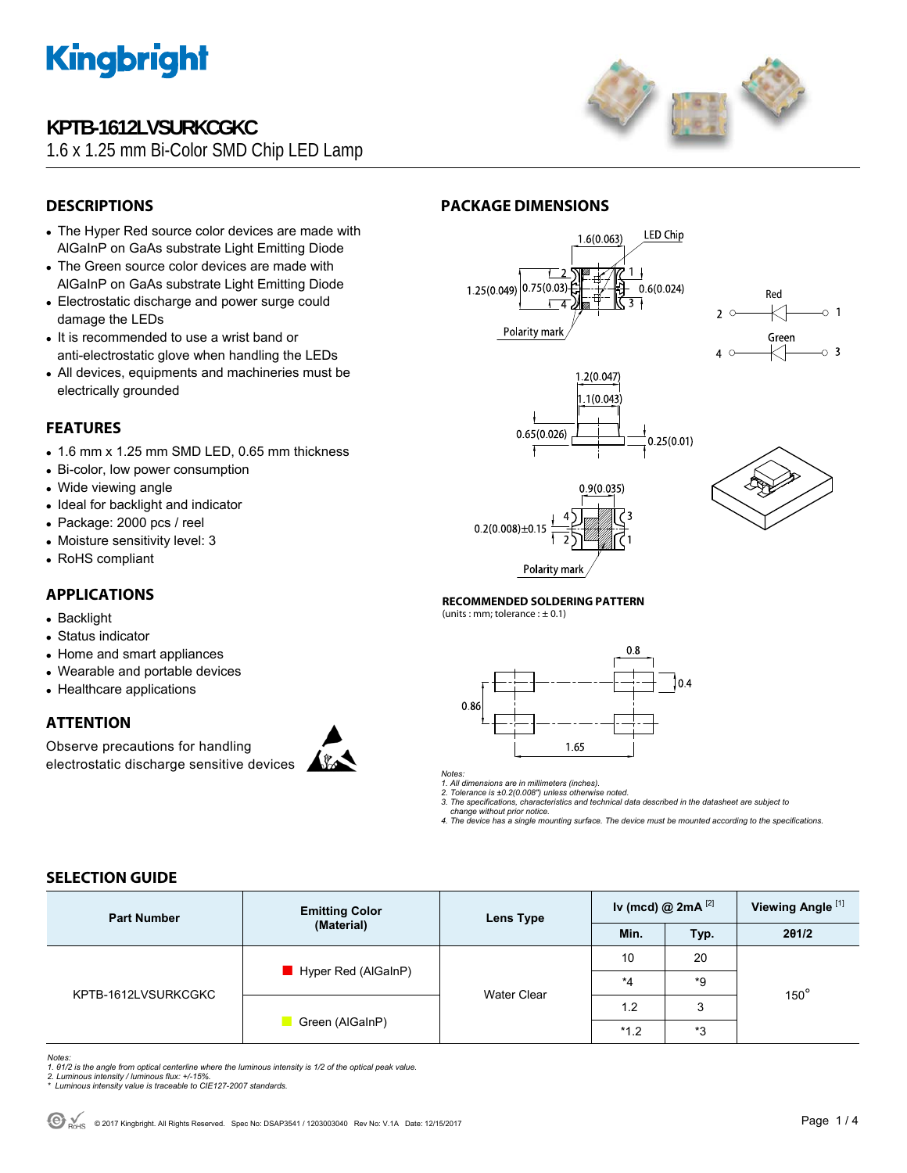

## **KPTB-1612LVSURKCGKC**

1.6 x 1.25 mm Bi-Color SMD Chip LED Lamp



### **DESCRIPTIONS**

- The Hyper Red source color devices are made with AlGaInP on GaAs substrate Light Emitting Diode
- The Green source color devices are made with AlGaInP on GaAs substrate Light Emitting Diode
- Electrostatic discharge and power surge could damage the LEDs
- It is recommended to use a wrist band or anti-electrostatic glove when handling the LEDs
- All devices, equipments and machineries must be electrically grounded

### **FEATURES**

- $\bullet$  1.6 mm x 1.25 mm SMD LED, 0.65 mm thickness
- Bi-color, low power consumption
- Wide viewing angle
- Ideal for backlight and indicator
- Package: 2000 pcs / reel
- Moisture sensitivity level: 3
- RoHS compliant

### **APPLICATIONS**

- Backlight
- Status indicator
- Home and smart appliances
- Wearable and portable devices
- Healthcare applications

### **ATTENTION**

Observe precautions for handling electrostatic discharge sensitive devices



### **PACKAGE DIMENSIONS**











**RECOMMENDED SOLDERING PATTERN** 

(units : mm; tolerance :  $\pm$  0.1)



### *Notes:*

*1. All dimensions are in millimeters (inches). 2. Tolerance is ±0.2(0.008") unless otherwise noted.* 

*3. The specifications, characteristics and technical data described in the datasheet are subject to change without prior notice.* 

*4. The device has a single mounting surface. The device must be mounted according to the specifications.* 

### **SELECTION GUIDE**

| <b>Part Number</b>  | <b>Emitting Color</b><br>(Material) | Lens Type          | Iv (mcd) @ $2mA$ <sup>[2]</sup> |        | Viewing Angle <sup>[1]</sup> |  |
|---------------------|-------------------------------------|--------------------|---------------------------------|--------|------------------------------|--|
|                     |                                     |                    | Min.                            | Typ.   | 201/2                        |  |
| KPTB-1612LVSURKCGKC | $\blacksquare$ Hyper Red (AlGaInP)  | <b>Water Clear</b> | 10                              | 20     | $150^\circ$                  |  |
|                     |                                     |                    | $*_{4}$                         | *9     |                              |  |
|                     | Green (AlGaInP)                     |                    | 1.2                             | ົ<br>J |                              |  |
|                     |                                     |                    | $*1.2$                          | *3     |                              |  |

*Notes:* 

- 1. 01/2 is the angle from optical centerline where the luminous intensity is 1/2 of the optical peak value.<br>2. Luminous intensity / luminous flux: +/-15%.<br>\* Luminous intensity value is traceable to CIE127-2007 standards.
- 
-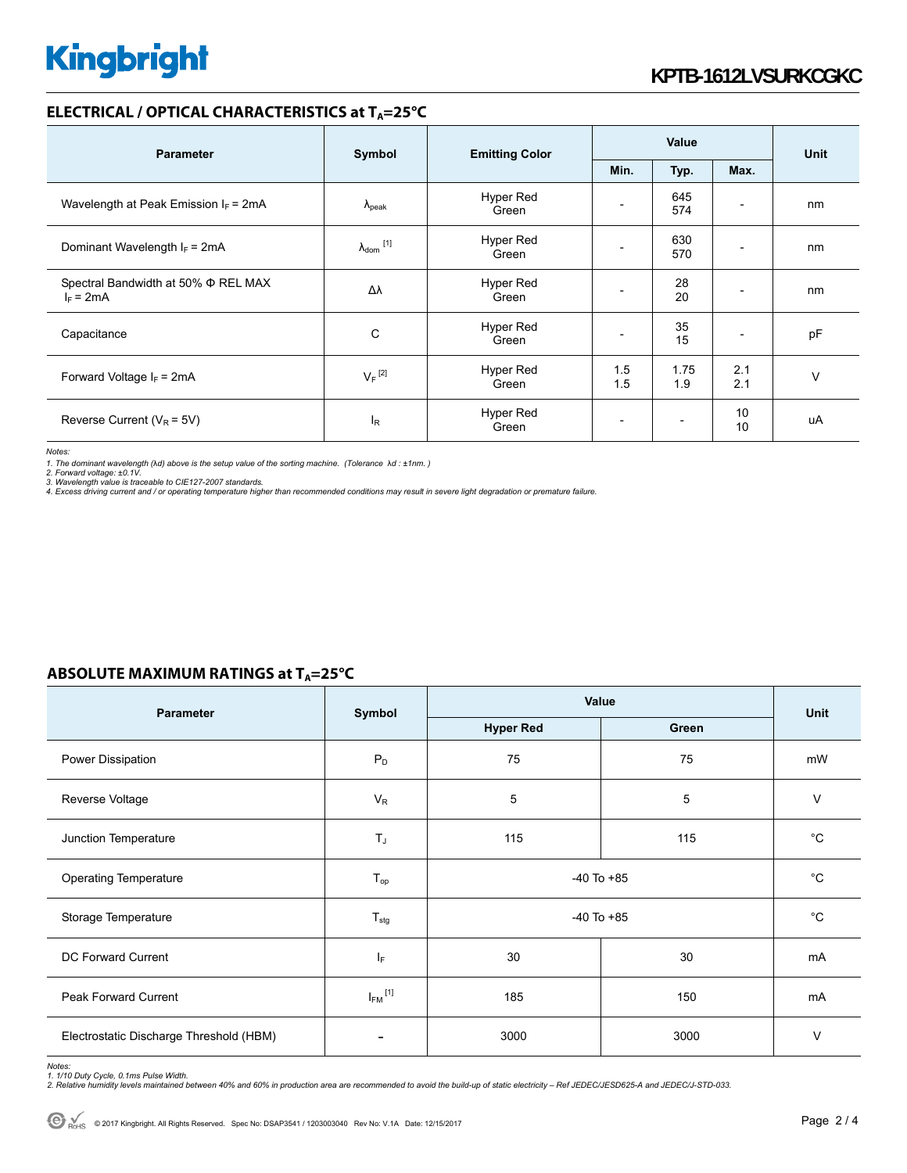### **ELECTRICAL / OPTICAL CHARACTERISTICS at T<sub>A</sub>=25°C**

| <b>Parameter</b>                                   | Symbol               | <b>Emitting Color</b> | Value      |                          |                          | <b>Unit</b> |
|----------------------------------------------------|----------------------|-----------------------|------------|--------------------------|--------------------------|-------------|
|                                                    |                      |                       | Min.       | Typ.                     | Max.                     |             |
| Wavelength at Peak Emission $I_F = 2mA$            | $\lambda_{\rm peak}$ | Hyper Red<br>Green    |            | 645<br>574               | $\overline{\phantom{0}}$ | nm          |
| Dominant Wavelength $I_F$ = 2mA                    | $\lambda_{dom}$ [1]  | Hyper Red<br>Green    |            | 630<br>570               |                          | nm          |
| Spectral Bandwidth at 50% Φ REL MAX<br>$I_F = 2mA$ | Δλ                   | Hyper Red<br>Green    |            | 28<br>20                 | $\overline{\phantom{a}}$ | nm          |
| Capacitance                                        | C                    | Hyper Red<br>Green    |            | 35<br>15                 | $\overline{\phantom{a}}$ | pF          |
| Forward Voltage $I_F$ = 2mA                        | $V_F$ <sup>[2]</sup> | Hyper Red<br>Green    | 1.5<br>1.5 | 1.75<br>1.9              | 2.1<br>2.1               | $\vee$      |
| Reverse Current ( $V_R$ = 5V)                      | $I_R$                | Hyper Red<br>Green    |            | $\overline{\phantom{a}}$ | 10<br>10                 | uA          |

*Notes:* 

1. The dominant wavelength (λd) above is the setup value of the sorting machine. (Tolerance λd : ±1nm. )<br>2. Forward voltage: ±0.1V.<br>3. Wavelength value is traceable to CIE127-2007 standards.<br>4. Excess driving current and /

### **ABSOLUTE MAXIMUM RATINGS at T<sub>A</sub>=25°C**

| <b>Parameter</b>                        | Symbol                   | Value            | Unit        |             |  |
|-----------------------------------------|--------------------------|------------------|-------------|-------------|--|
|                                         |                          | <b>Hyper Red</b> | Green       |             |  |
| Power Dissipation                       | $P_D$                    | 75               | 75          | mW          |  |
| Reverse Voltage                         | $V_R$                    | 5                | 5           | $\vee$      |  |
| Junction Temperature                    | $T_J$                    | 115              | 115         | $^{\circ}C$ |  |
| <b>Operating Temperature</b>            | $T_{\mathsf{op}}$        | $-40$ To $+85$   | $^{\circ}C$ |             |  |
| Storage Temperature                     | $T_{\text{stg}}$         | $-40$ To $+85$   | $^{\circ}C$ |             |  |
| DC Forward Current                      | $\mathsf{I}_\mathsf{F}$  | 30               | 30          | mA          |  |
| <b>Peak Forward Current</b>             | $I_{FM}$ <sup>[1]</sup>  | 185              | 150         | mA          |  |
| Electrostatic Discharge Threshold (HBM) | $\overline{\phantom{0}}$ | 3000             | 3000        | V           |  |

Notes:<br>1. 1/10 Duty Cycle, 0.1ms Pulse Width.<br>2. Relative humidity levels maintained between 40% and 60% in production area are recommended to avoid the build-up of static electricity – Ref JEDEC/JESD625-A and JEDEC/J-STD-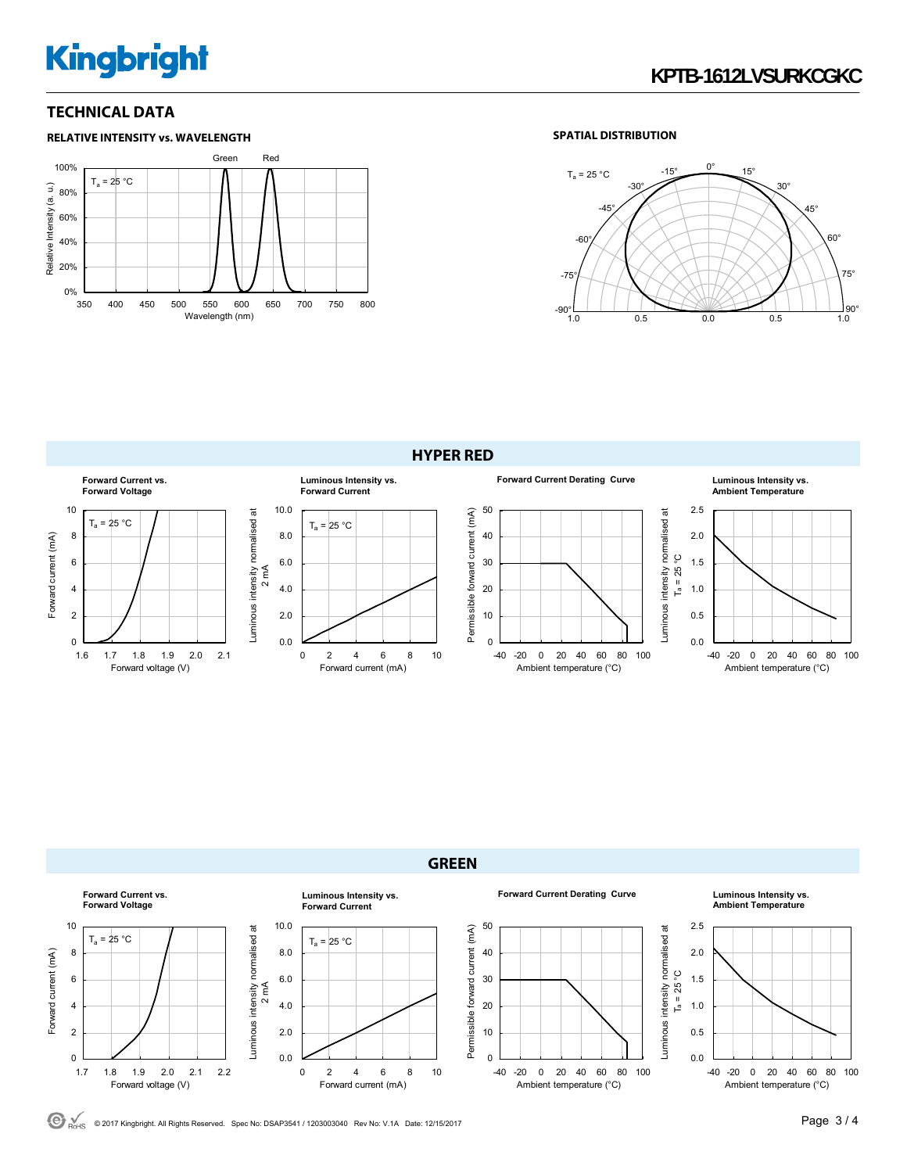# **Kingbright**

### **TECHNICAL DATA**



### **SPATIAL DISTRIBUTION**



**HYPER RED** 





© 2017 Kingbright. All Rights Reserved. Spec No: DSAP3541 / 1203003040 Rev No: V.1A Date: 12/15/2017Page 3 / 4